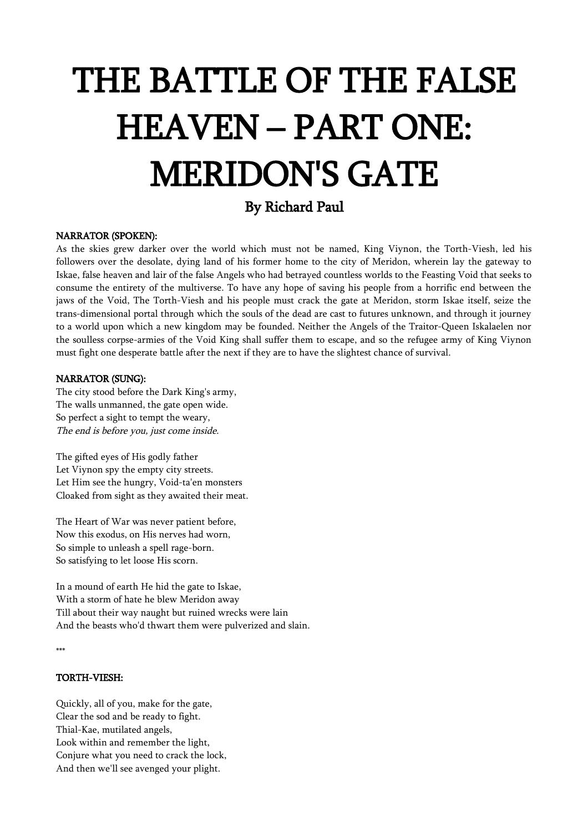# THE BATTLE OF THE FALSE HEAVEN – PART ONE: MERIDON'S GATE

# By Richard Paul

# NARRATOR (SPOKEN):

As the skies grew darker over the world which must not be named, King Viynon, the Torth-Viesh, led his followers over the desolate, dying land of his former home to the city of Meridon, wherein lay the gateway to Iskae, false heaven and lair of the false Angels who had betrayed countless worlds to the Feasting Void that seeks to consume the entirety of the multiverse. To have any hope of saving his people from a horrific end between the jaws of the Void, The Torth-Viesh and his people must crack the gate at Meridon, storm Iskae itself, seize the trans-dimensional portal through which the souls of the dead are cast to futures unknown, and through it journey to a world upon which a new kingdom may be founded. Neither the Angels of the Traitor-Queen Iskalaelen nor the soulless corpse-armies of the Void King shall suffer them to escape, and so the refugee army of King Viynon must fight one desperate battle after the next if they are to have the slightest chance of survival.

#### NARRATOR (SUNG):

The city stood before the Dark King's army, The walls unmanned, the gate open wide. So perfect a sight to tempt the weary, The end is before you, just come inside.

The gifted eyes of His godly father Let Viynon spy the empty city streets. Let Him see the hungry, Void-ta'en monsters Cloaked from sight as they awaited their meat.

The Heart of War was never patient before, Now this exodus, on His nerves had worn, So simple to unleash a spell rage-born. So satisfying to let loose His scorn.

In a mound of earth He hid the gate to Iskae, With a storm of hate he blew Meridon away Till about their way naught but ruined wrecks were lain And the beasts who'd thwart them were pulverized and slain.

# TORTH-VIESH:

Quickly, all of you, make for the gate, Clear the sod and be ready to fight. Thial-Kae, mutilated angels, Look within and remember the light, Conjure what you need to crack the lock, And then we'll see avenged your plight.

<sup>\*\*\*</sup>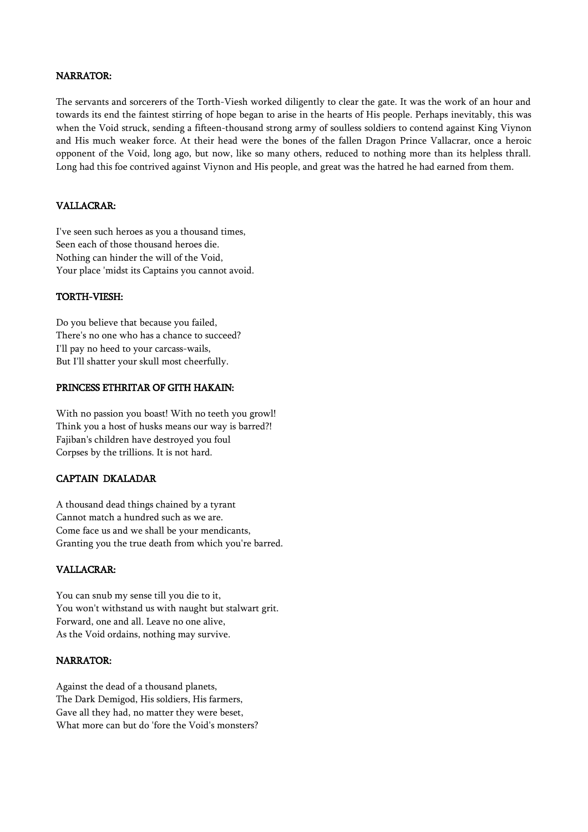# NARRATOR:

The servants and sorcerers of the Torth-Viesh worked diligently to clear the gate. It was the work of an hour and towards its end the faintest stirring of hope began to arise in the hearts of His people. Perhaps inevitably, this was when the Void struck, sending a fifteen-thousand strong army of soulless soldiers to contend against King Viynon and His much weaker force. At their head were the bones of the fallen Dragon Prince Vallacrar, once a heroic opponent of the Void, long ago, but now, like so many others, reduced to nothing more than its helpless thrall. Long had this foe contrived against Viynon and His people, and great was the hatred he had earned from them.

#### VALLACRAR:

I've seen such heroes as you a thousand times, Seen each of those thousand heroes die. Nothing can hinder the will of the Void, Your place 'midst its Captains you cannot avoid.

#### TORTH-VIESH:

Do you believe that because you failed, There's no one who has a chance to succeed? I'll pay no heed to your carcass-wails, But I'll shatter your skull most cheerfully.

### PRINCESS ETHRITAR OF GITH HAKAIN:

With no passion you boast! With no teeth you growl! Think you a host of husks means our way is barred?! Fajiban's children have destroyed you foul Corpses by the trillions. It is not hard.

### CAPTAIN DKALADAR

A thousand dead things chained by a tyrant Cannot match a hundred such as we are. Come face us and we shall be your mendicants, Granting you the true death from which you're barred.

# VALLACRAR:

You can snub my sense till you die to it, You won't withstand us with naught but stalwart grit. Forward, one and all. Leave no one alive, As the Void ordains, nothing may survive.

#### NARRATOR:

Against the dead of a thousand planets, The Dark Demigod, His soldiers, His farmers, Gave all they had, no matter they were beset, What more can but do 'fore the Void's monsters?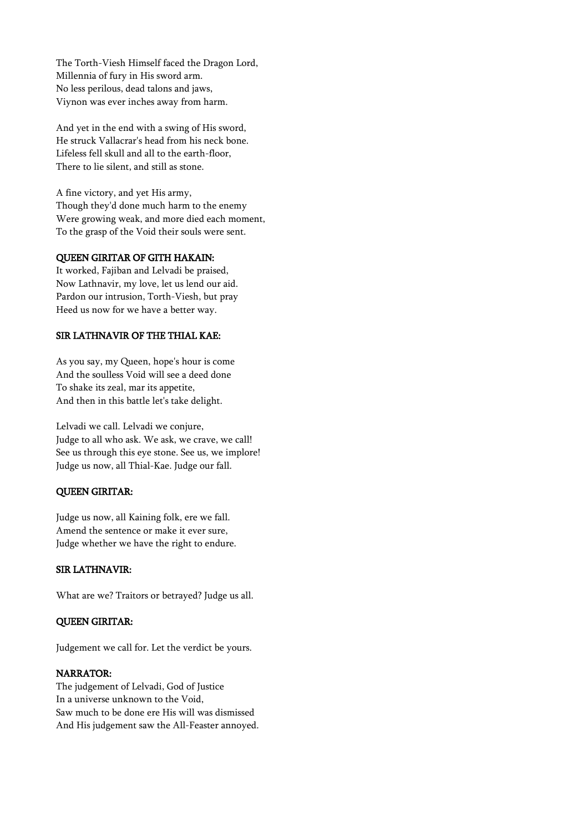The Torth-Viesh Himself faced the Dragon Lord, Millennia of fury in His sword arm. No less perilous, dead talons and jaws, Viynon was ever inches away from harm.

And yet in the end with a swing of His sword, He struck Vallacrar's head from his neck bone. Lifeless fell skull and all to the earth-floor, There to lie silent, and still as stone.

A fine victory, and yet His army, Though they'd done much harm to the enemy Were growing weak, and more died each moment, To the grasp of the Void their souls were sent.

# QUEEN GIRITAR OF GITH HAKAIN:

It worked, Fajiban and Lelvadi be praised, Now Lathnavir, my love, let us lend our aid. Pardon our intrusion, Torth-Viesh, but pray Heed us now for we have a better way.

### SIR LATHNAVIR OF THE THIAL KAE:

As you say, my Queen, hope's hour is come And the soulless Void will see a deed done To shake its zeal, mar its appetite, And then in this battle let's take delight.

Lelvadi we call. Lelvadi we conjure, Judge to all who ask. We ask, we crave, we call! See us through this eye stone. See us, we implore! Judge us now, all Thial-Kae. Judge our fall.

# QUEEN GIRITAR:

Judge us now, all Kaining folk, ere we fall. Amend the sentence or make it ever sure, Judge whether we have the right to endure.

# SIR LATHNAVIR:

What are we? Traitors or betrayed? Judge us all.

### QUEEN GIRITAR:

Judgement we call for. Let the verdict be yours.

#### NARRATOR:

The judgement of Lelvadi, God of Justice In a universe unknown to the Void, Saw much to be done ere His will was dismissed And His judgement saw the All-Feaster annoyed.